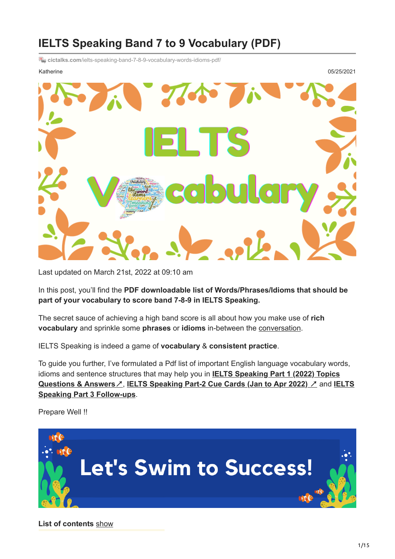## **IELTS Speaking Band 7 to 9 Vocabulary (PDF)**

**E** cictalks.com[/ielts-speaking-band-7-8-9-vocabulary-words-idioms-pdf/](https://cictalks.com/ielts-speaking-band-7-8-9-vocabulary-words-idioms-pdf/)

Katherine 05/25/2021

K

Last updated on March 21st, 2022 at 09:10 am

In this post, you'll find the **PDF downloadable list of Words/Phrases/Idioms that should be part of your vocabulary to score band 7-8-9 in IELTS Speaking.**

The secret sauce of achieving a high band score is all about how you make use of **rich vocabulary** and sprinkle some **phrases** or **idioms** in-between the [conversation](https://cictalks.com/describe-an-interesting-conversation-you-had-with-your-friend/).

IELTS Speaking is indeed a game of **vocabulary** & **consistent practice**.

To guide you further, I've formulated a Pdf list of important English language vocabulary words, idioms and sentence structures that may help you in **IELTS Speaking Part 1 (2022) Topics Questions & Answers**↗, **[IELTS Speaking Part-2 Cue Cards \(Jan to Apr 2022\)](https://cictalks.com/ielts-speaking-part-1-topics-2022-questions-answers/)** ↗ and **IELTS Speaking Part 3 Follow-ups**.

Prepare Well !!



**List of contents** [show](https://cictalks.com/ielts-speaking-band-7-8-9-vocabulary-words-idioms-pdf/#)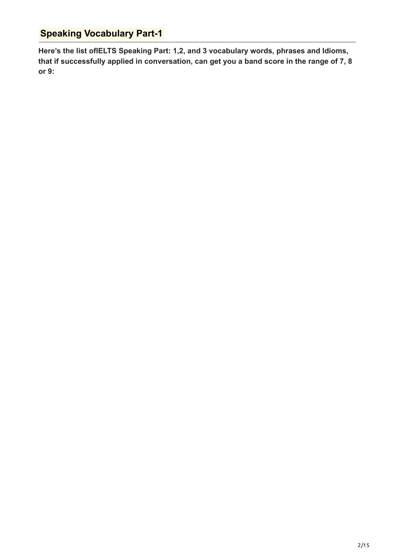## **Speaking Vocabulary Part-1**

**Here's the list ofIELTS Speaking Part: 1,2, and 3 vocabulary words, phrases and Idioms, that if successfully applied in conversation, can get you a band score in the range of 7, 8 or 9:**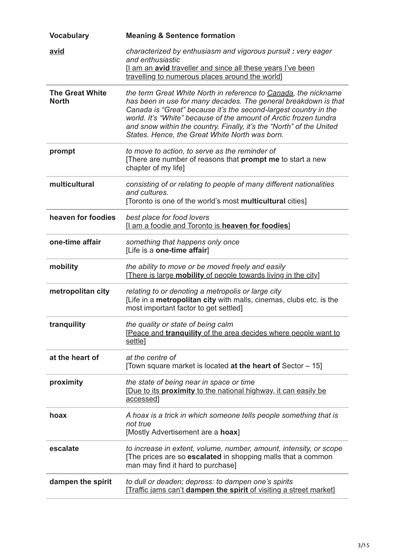| <b>Vocabulary</b>                      | <b>Meaning &amp; Sentence formation</b>                                                                                                                                                                                                                                                                                                                                                               |
|----------------------------------------|-------------------------------------------------------------------------------------------------------------------------------------------------------------------------------------------------------------------------------------------------------------------------------------------------------------------------------------------------------------------------------------------------------|
| avid                                   | characterized by enthusiasm and vigorous pursuit: very eager<br>and enthusiastic<br>I am an avid traveller and since all these years I've been<br>travelling to numerous places around the world]                                                                                                                                                                                                     |
| <b>The Great White</b><br><b>North</b> | the term Great White North in reference to Canada, the nickname<br>has been in use for many decades. The general breakdown is that<br>Canada is "Great" because it's the second-largest country in the<br>world. It's "White" because of the amount of Arctic frozen tundra<br>and snow within the country. Finally, it's the "North" of the United<br>States. Hence, the Great White North was born. |
| prompt                                 | to move to action, to serve as the reminder of<br>[There are number of reasons that prompt me to start a new<br>chapter of my life]                                                                                                                                                                                                                                                                   |
| multicultural                          | consisting of or relating to people of many different nationalities<br>and cultures.<br>[Toronto is one of the world's most multicultural cities]                                                                                                                                                                                                                                                     |
| heaven for foodies                     | best place for food lovers<br>[I am a foodie and Toronto is heaven for foodies]                                                                                                                                                                                                                                                                                                                       |
| one-time affair                        | something that happens only once<br>[Life is a one-time affair]                                                                                                                                                                                                                                                                                                                                       |
| mobility                               | the ability to move or be moved freely and easily<br>[There is large mobility of people towards living in the city]                                                                                                                                                                                                                                                                                   |
| metropolitan city                      | relating to or denoting a metropolis or large city<br>[Life in a metropolitan city with malls, cinemas, clubs etc. is the<br>most important factor to get settled]                                                                                                                                                                                                                                    |
| tranquility                            | the quality or state of being calm<br>[Peace and tranguility of the area decides where people want to<br>settle]                                                                                                                                                                                                                                                                                      |
| at the heart of                        | at the centre of<br>[Town square market is located at the heart of Sector - 15]                                                                                                                                                                                                                                                                                                                       |
| proximity                              | the state of being near in space or time<br>[Due to its proximity to the national highway, it can easily be<br>accessed]                                                                                                                                                                                                                                                                              |
| hoax                                   | A hoax is a trick in which someone tells people something that is<br>not true<br>[Mostly Advertisement are a hoax]                                                                                                                                                                                                                                                                                    |
| escalate                               | to increase in extent, volume, number, amount, intensity, or scope<br>[The prices are so <b>escalated</b> in shopping malls that a common<br>man may find it hard to purchase]                                                                                                                                                                                                                        |
| dampen the spirit                      | to dull or deaden; depress: to dampen one's spirits<br>[Traffic jams can't dampen the spirit of visiting a street market]                                                                                                                                                                                                                                                                             |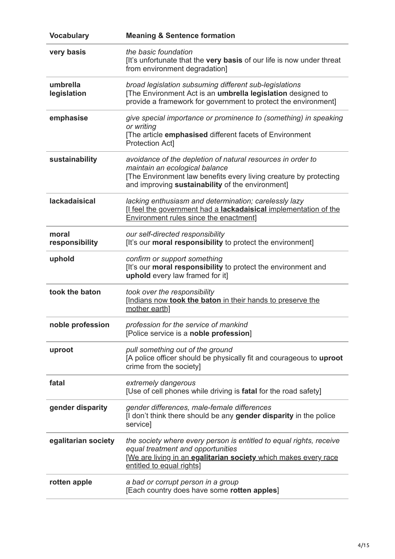| <b>Vocabulary</b>       | <b>Meaning &amp; Sentence formation</b>                                                                                                                                                                                |
|-------------------------|------------------------------------------------------------------------------------------------------------------------------------------------------------------------------------------------------------------------|
| very basis              | the basic foundation<br>[It's unfortunate that the very basis of our life is now under threat<br>from environment degradation]                                                                                         |
| umbrella<br>legislation | broad legislation subsuming different sub-legislations<br>[The Environment Act is an umbrella legislation designed to<br>provide a framework for government to protect the environment]                                |
| emphasise               | give special importance or prominence to (something) in speaking<br>or writing<br>[The article emphasised different facets of Environment<br><b>Protection Act]</b>                                                    |
| sustainability          | avoidance of the depletion of natural resources in order to<br>maintain an ecological balance<br>[The Environment law benefits every living creature by protecting<br>and improving sustainability of the environment] |
| <b>lackadaisical</b>    | lacking enthusiasm and determination; carelessly lazy<br>[I feel the government had a lackadaisical implementation of the<br><b>Environment rules since the enactment]</b>                                             |
| moral<br>responsibility | our self-directed responsibility<br>[It's our moral responsibility to protect the environment]                                                                                                                         |
| uphold                  | confirm or support something<br>[It's our moral responsibility to protect the environment and<br>uphold every law framed for it]                                                                                       |
| took the baton          | took over the responsibility<br>[Indians now took the baton in their hands to preserve the<br>mother earth]                                                                                                            |
| noble profession        | profession for the service of mankind<br>[Police service is a noble profession]                                                                                                                                        |
| uproot                  | pull something out of the ground<br>[A police officer should be physically fit and courageous to uproot<br>crime from the society]                                                                                     |
| fatal                   | extremely dangerous<br>[Use of cell phones while driving is fatal for the road safety]                                                                                                                                 |
| gender disparity        | gender differences, male-female differences<br>[I don't think there should be any gender disparity in the police<br>service]                                                                                           |
| egalitarian society     | the society where every person is entitled to equal rights, receive<br>equal treatment and opportunities<br>[We are living in an egalitarian society which makes every race<br>entitled to equal rights]               |
| rotten apple            | a bad or corrupt person in a group<br>[Each country does have some rotten apples]                                                                                                                                      |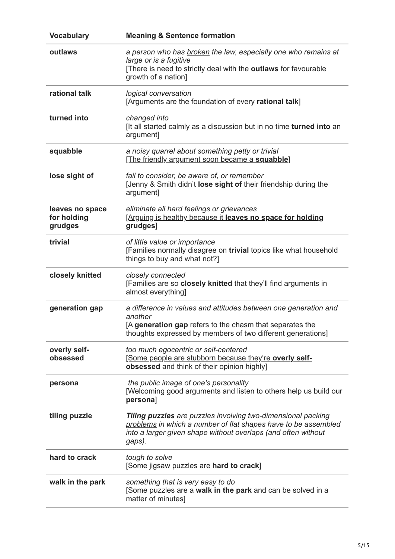| <b>Vocabulary</b>                         | <b>Meaning &amp; Sentence formation</b>                                                                                                                                                                          |
|-------------------------------------------|------------------------------------------------------------------------------------------------------------------------------------------------------------------------------------------------------------------|
| outlaws                                   | a person who has broken the law, especially one who remains at<br>large or is a fugitive<br>[There is need to strictly deal with the outlaws for favourable<br>growth of a nation]                               |
| rational talk                             | logical conversation<br>[Arguments are the foundation of every rational talk]                                                                                                                                    |
| turned into                               | changed into<br>[It all started calmly as a discussion but in no time turned into an<br>argument]                                                                                                                |
| squabble                                  | a noisy quarrel about something petty or trivial<br>[The friendly argument soon became a squabble]                                                                                                               |
| lose sight of                             | fail to consider, be aware of, or remember<br>[Jenny & Smith didn't lose sight of their friendship during the<br>argument]                                                                                       |
| leaves no space<br>for holding<br>grudges | eliminate all hard feelings or grievances<br>[Arguing is healthy because it leaves no space for holding<br>grudges]                                                                                              |
| trivial                                   | of little value or importance<br>[Families normally disagree on trivial topics like what household<br>things to buy and what not?]                                                                               |
| closely knitted                           | closely connected<br>[Families are so closely knitted that they'll find arguments in<br>almost everything]                                                                                                       |
| generation gap                            | a difference in values and attitudes between one generation and<br>another<br>[A generation gap refers to the chasm that separates the<br>thoughts expressed by members of two different generations]            |
| overly self-<br>obsessed                  | too much egocentric or self-centered<br>[Some people are stubborn because they're overly self-<br>obsessed and think of their opinion highly]                                                                    |
| persona                                   | the public image of one's personality<br>[Welcoming good arguments and listen to others help us build our<br>persona]                                                                                            |
| tiling puzzle                             | <b>Tiling puzzles</b> are puzzles involving two-dimensional packing<br>problems in which a number of flat shapes have to be assembled<br>into a larger given shape without overlaps (and often without<br>gaps). |
| hard to crack                             | tough to solve<br>[Some jigsaw puzzles are hard to crack]                                                                                                                                                        |
| walk in the park                          | something that is very easy to do<br>[Some puzzles are a walk in the park and can be solved in a<br>matter of minutes]                                                                                           |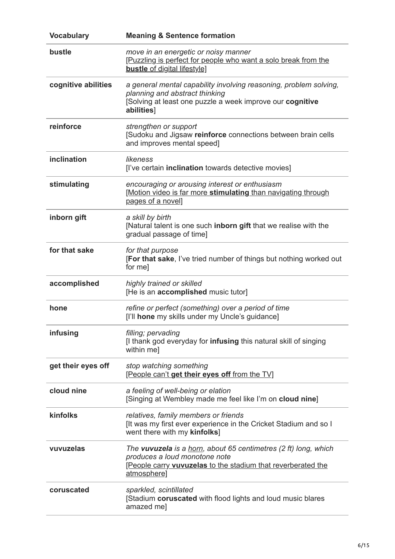| <b>Vocabulary</b>   | <b>Meaning &amp; Sentence formation</b>                                                                                                                                         |
|---------------------|---------------------------------------------------------------------------------------------------------------------------------------------------------------------------------|
| bustle              | move in an energetic or noisy manner<br>[Puzzling is perfect for people who want a solo break from the<br><b>bustle</b> of digital lifestyle]                                   |
| cognitive abilities | a general mental capability involving reasoning, problem solving,<br>planning and abstract thinking<br>Solving at least one puzzle a week improve our cognitive<br>abilities]   |
| reinforce           | strengthen or support<br>[Sudoku and Jigsaw reinforce connections between brain cells<br>and improves mental speed]                                                             |
| inclination         | likeness<br>[I've certain inclination towards detective movies]                                                                                                                 |
| stimulating         | encouraging or arousing interest or enthusiasm<br>[Motion video is far more stimulating than navigating through<br>pages of a novel]                                            |
| inborn gift         | a skill by birth<br>[Natural talent is one such inborn gift that we realise with the<br>gradual passage of time]                                                                |
| for that sake       | for that purpose<br>[For that sake, I've tried number of things but nothing worked out<br>for me]                                                                               |
| accomplished        | highly trained or skilled<br>[He is an accomplished music tutor]                                                                                                                |
| hone                | refine or perfect (something) over a period of time<br>[I'll hone my skills under my Uncle's guidance]                                                                          |
| infusing            | filling; pervading<br>[I thank god everyday for <b>infusing</b> this natural skill of singing<br>within me]                                                                     |
| get their eyes off  | stop watching something<br>[People can't get their eyes off from the TV]                                                                                                        |
| cloud nine          | a feeling of well-being or elation<br>[Singing at Wembley made me feel like I'm on cloud nine]                                                                                  |
| kinfolks            | relatives, family members or friends<br>[It was my first ever experience in the Cricket Stadium and so I<br>went there with my kinfolks]                                        |
| vuvuzelas           | The vuvuzela is a horn, about 65 centimetres (2 ft) long, which<br>produces a loud monotone note<br>[People carry vuvuzelas to the stadium that reverberated the<br>atmosphere] |
| coruscated          | sparkled, scintillated<br>[Stadium coruscated with flood lights and loud music blares<br>amazed me]                                                                             |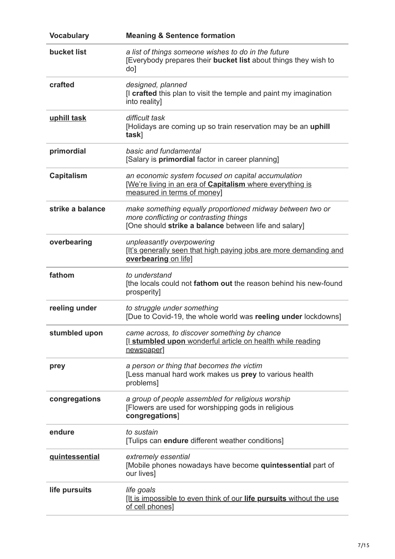| <b>Vocabulary</b>     | <b>Meaning &amp; Sentence formation</b>                                                                                                                      |
|-----------------------|--------------------------------------------------------------------------------------------------------------------------------------------------------------|
| bucket list           | a list of things someone wishes to do in the future<br>[Everybody prepares their bucket list about things they wish to<br>do]                                |
| crafted               | designed, planned<br>[I crafted this plan to visit the temple and paint my imagination<br>into reality]                                                      |
| uphill task           | difficult task<br>[Holidays are coming up so train reservation may be an uphill<br>task]                                                                     |
| primordial            | basic and fundamental<br>[Salary is <b>primordial</b> factor in career planning]                                                                             |
| <b>Capitalism</b>     | an economic system focused on capital accumulation<br>[We're living in an era of Capitalism where everything is<br>measured in terms of money]               |
| strike a balance      | make something equally proportioned midway between two or<br>more conflicting or contrasting things<br>[One should strike a balance between life and salary] |
| overbearing           | unpleasantly overpowering<br>[It's generally seen that high paying jobs are more demanding and<br>overbearing on life]                                       |
| fathom                | to understand<br>[the locals could not fathom out the reason behind his new-found<br>prosperity]                                                             |
| reeling under         | to struggle under something<br>[Due to Covid-19, the whole world was reeling under lockdowns]                                                                |
| stumbled upon         | came across, to discover something by chance<br>[I stumbled upon wonderful article on health while reading<br>newspaper]                                     |
| prey                  | a person or thing that becomes the victim<br>[Less manual hard work makes us prey to various health<br>problems]                                             |
| congregations         | a group of people assembled for religious worship<br>[Flowers are used for worshipping gods in religious<br>congregations]                                   |
| endure                | to sustain<br>[Tulips can endure different weather conditions]                                                                                               |
| <b>guintessential</b> | extremely essential<br>[Mobile phones nowadays have become quintessential part of<br>our lives]                                                              |
| life pursuits         | life goals<br><u>It is impossible to even think of our life pursuits without the use</u><br>of cell phones]                                                  |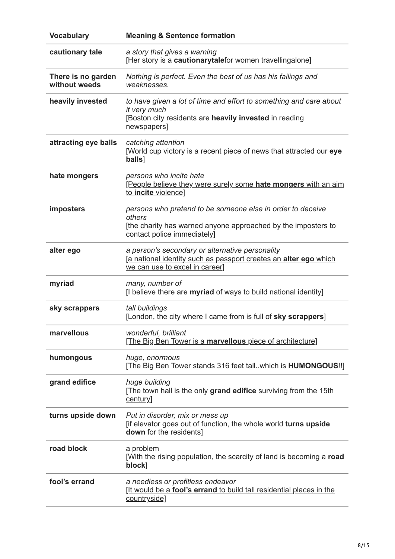| <b>Vocabulary</b>                   | <b>Meaning &amp; Sentence formation</b>                                                                                                                              |
|-------------------------------------|----------------------------------------------------------------------------------------------------------------------------------------------------------------------|
| cautionary tale                     | a story that gives a warning<br>[Her story is a cautionarytalefor women travellingalone]                                                                             |
| There is no garden<br>without weeds | Nothing is perfect. Even the best of us has his failings and<br>weaknesses.                                                                                          |
| heavily invested                    | to have given a lot of time and effort to something and care about<br>it very much<br>[Boston city residents are heavily invested in reading<br>newspapers]          |
| attracting eye balls                | catching attention<br>[World cup victory is a recent piece of news that attracted our eye<br>balls]                                                                  |
| hate mongers                        | persons who incite hate<br>[People believe they were surely some hate mongers with an aim<br>to incite violence]                                                     |
| imposters                           | persons who pretend to be someone else in order to deceive<br>others<br>[the charity has warned anyone approached by the imposters to<br>contact police immediately] |
| alter ego                           | a person's secondary or alternative personality<br>[a national identity such as passport creates an alter ego which<br>we can use to excel in career]                |
| myriad                              | many, number of<br>[I believe there are myriad of ways to build national identity]                                                                                   |
| sky scrappers                       | tall buildings<br>[London, the city where I came from is full of sky scrappers]                                                                                      |
| marvellous                          | wonderful, brilliant<br>[The Big Ben Tower is a marvellous piece of architecture]                                                                                    |
| humongous                           | huge, enormous<br>[The Big Ben Tower stands 316 feet tall. which is <b>HUMONGOUS!!</b> ]                                                                             |
| grand edifice                       | huge building<br>[The town hall is the only grand edifice surviving from the 15th<br>century]                                                                        |
| turns upside down                   | Put in disorder, mix or mess up<br>[if elevator goes out of function, the whole world turns upside<br>down for the residents]                                        |
| road block                          | a problem<br>[With the rising population, the scarcity of land is becoming a road<br>block]                                                                          |
| fool's errand                       | a needless or profitless endeavor<br>[It would be a fool's errand to build tall residential places in the<br>countryside]                                            |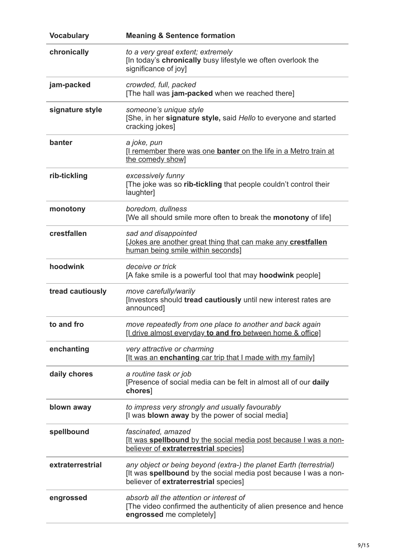| <b>Vocabulary</b> | <b>Meaning &amp; Sentence formation</b>                                                                                                                                         |
|-------------------|---------------------------------------------------------------------------------------------------------------------------------------------------------------------------------|
| chronically       | to a very great extent; extremely<br>[In today's chronically busy lifestyle we often overlook the<br>significance of joy]                                                       |
| jam-packed        | crowded, full, packed<br>[The hall was jam-packed when we reached there]                                                                                                        |
| signature style   | someone's unique style<br>[She, in her signature style, said Hello to everyone and started<br>cracking jokes]                                                                   |
| banter            | a joke, pun<br>I remember there was one <b>banter</b> on the life in a Metro train at<br>the comedy show]                                                                       |
| rib-tickling      | excessively funny<br>[The joke was so rib-tickling that people couldn't control their<br>laughter]                                                                              |
| monotony          | boredom, dullness<br>[We all should smile more often to break the <b>monotony</b> of life]                                                                                      |
| crestfallen       | sad and disappointed<br>[Jokes are another great thing that can make any crestfallen<br>human being smile within seconds]                                                       |
| hoodwink          | deceive or trick<br>[A fake smile is a powerful tool that may <b>hoodwink</b> people]                                                                                           |
| tread cautiously  | move carefully/warily<br>[Investors should tread cautiously until new interest rates are<br>announced]                                                                          |
| to and fro        | move repeatedly from one place to another and back again<br>[I drive almost everyday to and fro between home & office]                                                          |
| enchanting        | very attractive or charming<br><u>It was an enchanting car trip that I made with my family</u>                                                                                  |
| daily chores      | a routine task or job<br>[Presence of social media can be felt in almost all of our daily<br>chores]                                                                            |
| blown away        | to impress very strongly and usually favourably<br>[I was blown away by the power of social media]                                                                              |
| spellbound        | fascinated, amazed<br><u>It was spellbound by the social media post because I was a non-</u><br>believer of extraterrestrial species]                                           |
| extraterrestrial  | any object or being beyond (extra-) the planet Earth (terrestrial)<br>[It was spellbound by the social media post because I was a non-<br>believer of extraterrestrial species] |
| engrossed         | absorb all the attention or interest of<br>[The video confirmed the authenticity of alien presence and hence<br>engrossed me completely]                                        |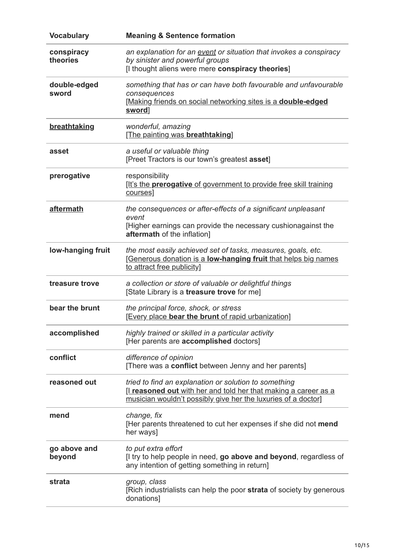| <b>Vocabulary</b>      | <b>Meaning &amp; Sentence formation</b>                                                                                                                                                  |
|------------------------|------------------------------------------------------------------------------------------------------------------------------------------------------------------------------------------|
| conspiracy<br>theories | an explanation for an event or situation that invokes a conspiracy<br>by sinister and powerful groups<br>[I thought aliens were mere conspiracy theories]                                |
| double-edged<br>sword  | something that has or can have both favourable and unfavourable<br>consequences<br>[Making friends on social networking sites is a double-edged<br>sword]                                |
| breathtaking           | wonderful, amazing<br>[The painting was breathtaking]                                                                                                                                    |
| asset                  | a useful or valuable thing<br>[Preet Tractors is our town's greatest asset]                                                                                                              |
| prerogative            | responsibility<br>[It's the <b>prerogative</b> of government to provide free skill training<br>courses]                                                                                  |
| aftermath              | the consequences or after-effects of a significant unpleasant<br>event<br>[Higher earnings can provide the necessary cushionagainst the<br>aftermath of the inflation]                   |
| low-hanging fruit      | the most easily achieved set of tasks, measures, goals, etc.<br>[Generous donation is a low-hanging fruit that helps big names<br>to attract free publicity]                             |
| treasure trove         | a collection or store of valuable or delightful things<br>[State Library is a treasure trove for me]                                                                                     |
| bear the brunt         | the principal force, shock, or stress<br>[Every place bear the brunt of rapid urbanization]                                                                                              |
| accomplished           | highly trained or skilled in a particular activity<br>[Her parents are accomplished doctors]                                                                                             |
| conflict               | difference of opinion<br>[There was a conflict between Jenny and her parents]                                                                                                            |
| reasoned out           | tried to find an explanation or solution to something<br>I reasoned out with her and told her that making a career as a<br>musician wouldn't possibly give her the luxuries of a doctor] |
| mend                   | change, fix<br>[Her parents threatened to cut her expenses if she did not mend<br>her ways]                                                                                              |
| go above and<br>beyond | to put extra effort<br>If try to help people in need, go above and beyond, regardless of<br>any intention of getting something in return]                                                |
| strata                 | group, class<br>[Rich industrialists can help the poor strata of society by generous<br>donations]                                                                                       |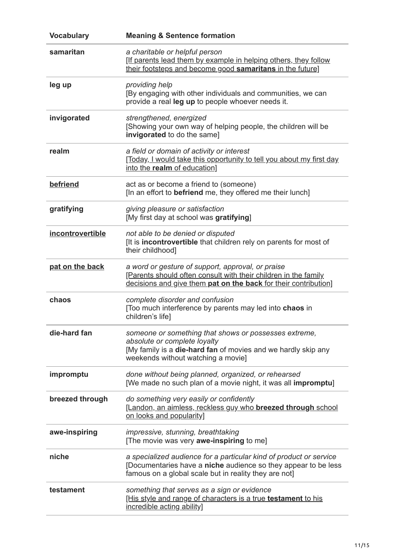| <b>Vocabulary</b> | <b>Meaning &amp; Sentence formation</b>                                                                                                                                                       |
|-------------------|-----------------------------------------------------------------------------------------------------------------------------------------------------------------------------------------------|
| samaritan         | a charitable or helpful person<br>[If parents lead them by example in helping others, they follow<br>their footsteps and become good samaritans in the future]                                |
| leg up            | providing help<br>[By engaging with other individuals and communities, we can<br>provide a real leg up to people whoever needs it.                                                            |
| invigorated       | strengthened, energized<br>[Showing your own way of helping people, the children will be<br>invigorated to do the same]                                                                       |
| realm             | a field or domain of activity or interest<br>[Today, I would take this opportunity to tell you about my first day<br>into the realm of education]                                             |
| befriend          | act as or become a friend to (someone)<br>[In an effort to <b>befriend</b> me, they offered me their lunch]                                                                                   |
| gratifying        | giving pleasure or satisfaction<br>[My first day at school was gratifying]                                                                                                                    |
| incontrovertible  | not able to be denied or disputed<br>[It is incontrovertible that children rely on parents for most of<br>their childhood]                                                                    |
| pat on the back   | a word or gesture of support, approval, or praise<br>[Parents should often consult with their children in the family<br>decisions and give them pat on the back for their contribution]       |
| chaos             | complete disorder and confusion<br>[Too much interference by parents may led into chaos in<br>children's life]                                                                                |
| die-hard fan      | someone or something that shows or possesses extreme,<br>absolute or complete loyalty<br>[My family is a die-hard fan of movies and we hardly skip any<br>weekends without watching a movie]  |
| impromptu         | done without being planned, organized, or rehearsed<br>[We made no such plan of a movie night, it was all impromptu]                                                                          |
| breezed through   | do something very easily or confidently<br>[Landon, an aimless, reckless guy who breezed through school<br>on looks and popularity]                                                           |
| awe-inspiring     | impressive, stunning, breathtaking<br>[The movie was very awe-inspiring to me]                                                                                                                |
| niche             | a specialized audience for a particular kind of product or service<br>[Documentaries have a niche audience so they appear to be less<br>famous on a global scale but in reality they are not] |
| testament         | something that serves as a sign or evidence<br>[His style and range of characters is a true testament to his<br>incredible acting ability]                                                    |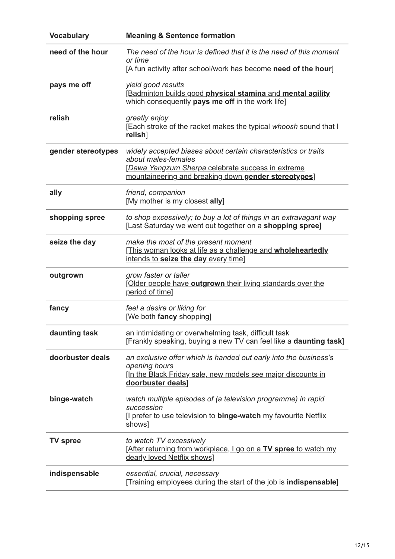| <b>Vocabulary</b>  | <b>Meaning &amp; Sentence formation</b>                                                                                                                                                            |
|--------------------|----------------------------------------------------------------------------------------------------------------------------------------------------------------------------------------------------|
| need of the hour   | The need of the hour is defined that it is the need of this moment<br>or time<br>[A fun activity after school/work has become need of the hour]                                                    |
| pays me off        | yield good results<br>[Badminton builds good physical stamina and mental agility<br>which consequently pays me off in the work life]                                                               |
| relish             | greatly enjoy<br>[Each stroke of the racket makes the typical whoosh sound that I<br>relish]                                                                                                       |
| gender stereotypes | widely accepted biases about certain characteristics or traits<br>about males-females<br>[Dawa Yangzum Sherpa celebrate success in extreme<br>mountaineering and breaking down gender stereotypes] |
| ally               | friend, companion<br>[My mother is my closest ally]                                                                                                                                                |
| shopping spree     | to shop excessively; to buy a lot of things in an extravagant way<br>[Last Saturday we went out together on a shopping spree]                                                                      |
| seize the day      | make the most of the present moment<br>[This woman looks at life as a challenge and wholeheartedly<br>intends to seize the day every time]                                                         |
| outgrown           | grow faster or taller<br>[Older people have outgrown their living standards over the<br>period of time]                                                                                            |
| fancy              | feel a desire or liking for<br>[We both fancy shopping]                                                                                                                                            |
| daunting task      | an intimidating or overwhelming task, difficult task<br>[Frankly speaking, buying a new TV can feel like a daunting task]                                                                          |
| doorbuster deals   | an exclusive offer which is handed out early into the business's<br>opening hours<br>[In the Black Friday sale, new models see major discounts in<br>doorbuster deals]                             |
| binge-watch        | watch multiple episodes of (a television programme) in rapid<br>succession<br>[I prefer to use television to binge-watch my favourite Netflix<br>shows]                                            |
| <b>TV spree</b>    | to watch TV excessively<br>[After returning from workplace, I go on a TV spree to watch my<br>dearly loved Netflix shows]                                                                          |
| indispensable      | essential, crucial, necessary<br>[Training employees during the start of the job is indispensable]                                                                                                 |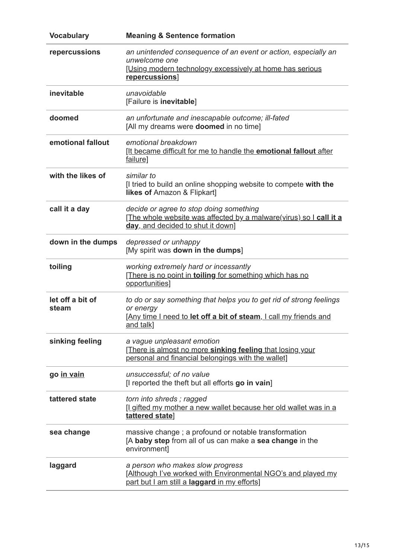| <b>Vocabulary</b>         | <b>Meaning &amp; Sentence formation</b>                                                                                                                            |
|---------------------------|--------------------------------------------------------------------------------------------------------------------------------------------------------------------|
| repercussions             | an unintended consequence of an event or action, especially an<br>unwelcome one<br>[Using modern technology excessively at home has serious<br>repercussions]      |
| inevitable                | unavoidable<br>[Failure is inevitable]                                                                                                                             |
| doomed                    | an unfortunate and inescapable outcome; ill-fated<br>[All my dreams were <b>doomed</b> in no time]                                                                 |
| emotional fallout         | emotional breakdown<br>It became difficult for me to handle the <b>emotional fallout</b> after<br>failure]                                                         |
| with the likes of         | similar to<br>If tried to build an online shopping website to compete with the<br>likes of Amazon & Flipkart]                                                      |
| call it a day             | decide or agree to stop doing something<br>[The whole website was affected by a malware(virus) so I call it a<br>day, and decided to shut it down]                 |
| down in the dumps         | depressed or unhappy<br>[My spirit was down in the dumps]                                                                                                          |
| toiling                   | working extremely hard or incessantly<br>[There is no point in toiling for something which has no<br>opportunities]                                                |
| let off a bit of<br>steam | to do or say something that helps you to get rid of strong feelings<br>or energy<br>[Any time I need to let off a bit of steam, I call my friends and<br>and talk] |
| sinking feeling           | a vague unpleasant emotion<br>[There is almost no more sinking feeling that losing your<br>personal and financial belongings with the wallet]                      |
| go in vain                | unsuccessful; of no value<br>[I reported the theft but all efforts go in vain]                                                                                     |
| tattered state            | torn into shreds; ragged<br>[Lgifted my mother a new wallet because her old wallet was in a<br>tattered state]                                                     |
| sea change                | massive change; a profound or notable transformation<br>[A baby step from all of us can make a sea change in the<br>environment]                                   |
| laggard                   | a person who makes slow progress<br>[Although I've worked with Environmental NGO's and played my<br>part but I am still a laggard in my efforts]                   |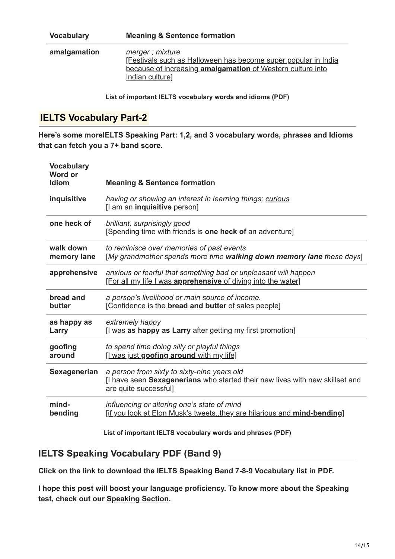| <b>Vocabulary</b> | <b>Meaning &amp; Sentence formation</b>                                                                                                                            |
|-------------------|--------------------------------------------------------------------------------------------------------------------------------------------------------------------|
| amalgamation      | merger; mixture<br>[Festivals such as Halloween has become super popular in India<br>because of increasing amalgamation of Western culture into<br>Indian culture] |

**List of important IELTS vocabulary words and idioms (PDF)**

## **IELTS Vocabulary Part-2**

**Here's some moreIELTS Speaking Part: 1,2, and 3 vocabulary words, phrases and Idioms that can fetch you a 7+ band score.**

| <b>Vocabulary</b><br>Word or<br><b>Idiom</b> | <b>Meaning &amp; Sentence formation</b>                                                                                                              |
|----------------------------------------------|------------------------------------------------------------------------------------------------------------------------------------------------------|
| inquisitive                                  | having or showing an interest in learning things; curious<br>[I am an inquisitive person]                                                            |
| one heck of                                  | brilliant, surprisingly good<br>[Spending time with friends is one heck of an adventure]                                                             |
| walk down                                    | to reminisce over memories of past events                                                                                                            |
| memory lane                                  | [My grandmother spends more time walking down memory lane these days]                                                                                |
| apprehensive                                 | anxious or fearful that something bad or unpleasant will happen<br>[For all my life I was apprehensive of diving into the water]                     |
| bread and                                    | a person's livelihood or main source of income.                                                                                                      |
| butter                                       | [Confidence is the bread and butter of sales people]                                                                                                 |
| as happy as                                  | extremely happy                                                                                                                                      |
| Larry                                        | [I was as happy as Larry after getting my first promotion]                                                                                           |
| goofing                                      | to spend time doing silly or playful things                                                                                                          |
| around                                       | [I was just goofing around with my life]                                                                                                             |
| Sexagenerian                                 | a person from sixty to sixty-nine years old<br>[I have seen Sexagenerians who started their new lives with new skillset and<br>are quite successful] |
| mind-                                        | influencing or altering one's state of mind                                                                                                          |
| bending                                      | [if you look at Elon Musk's tweetsthey are hilarious and mind-bending]                                                                               |

**List of important IELTS vocabulary words and phrases (PDF)**

## **IELTS Speaking Vocabulary PDF (Band 9)**

**Click on the link to download the IELTS Speaking Band 7-8-9 Vocabulary list in PDF.**

**I hope this post will boost your language proficiency. To know more about the Speaking test, check out our [Speaking Section.](https://cictalks.com/ielts-speaking-part-1-2-and-3/)**